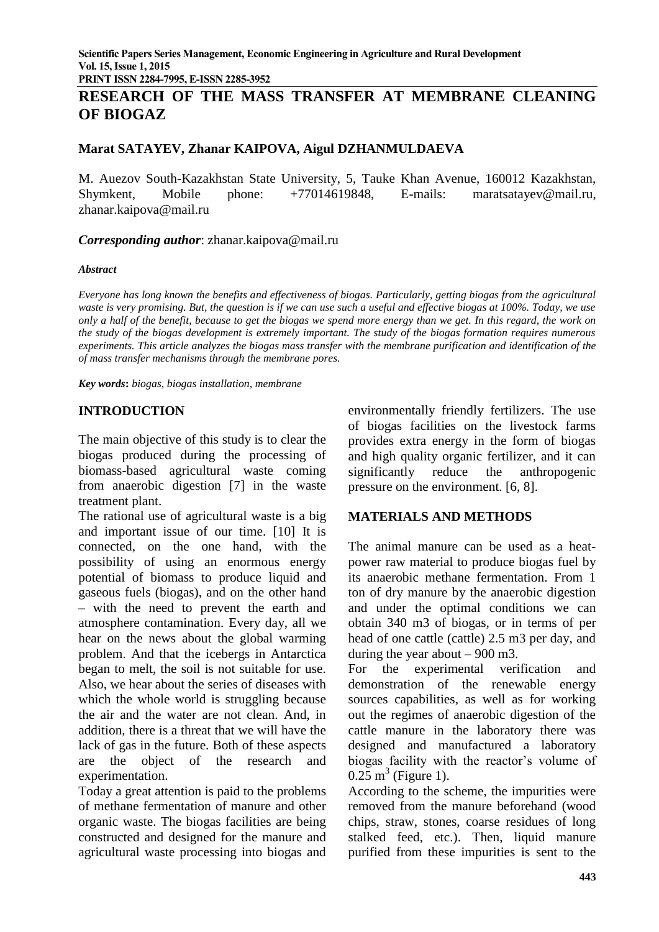**PRINT ISSN 2284-7995, E-ISSN 2285-3952** 

# **RESEARCH OF THE MASS TRANSFER AT MEMBRANE CLEANING OF BIOGAZ**

# **Marat SATAYEV, Zhanar KAIPOVA, Aigul DZHANMULDAEVA**

M. Auezov South-Kazakhstan State University, 5, Tauke Khan Avenue, 160012 Kazakhstan, Shymkent, Mobile phone: +77014619848, E-mails: [maratsatayev@mail.ru,](mailto:maratsatayev@mail.ru) zhanar.kaipova@mail.ru

*Corresponding author*: zhanar.kaipova@mail.ru

#### *Abstract*

*Everyone has long known the benefits and effectiveness of biogas. Particularly, getting biogas from the agricultural waste is very promising. But, the question is if we can use such a useful and effective biogas at 100%. Today, we use only a half of the benefit, because to get the biogas we spend more energy than we get. In this regard, the work on the study of the biogas development is extremely important. The study of the biogas formation requires numerous experiments. This article analyzes the biogas mass transfer with the membrane purification and identification of the of mass transfer mechanisms through the membrane pores.*

*Key words***:** *biogas, biogas installation, membrane*

# **INTRODUCTION**

The main objective of this study is to clear the biogas produced during the processing of biomass-based agricultural waste coming from anaerobic digestion [7] in the waste treatment plant.

The rational use of agricultural waste is a big and important issue of our time. [10] It is connected, on the one hand, with the possibility of using an enormous energy potential of biomass to produce liquid and gaseous fuels (biogas), and on the other hand – with the need to prevent the earth and atmosphere contamination. Every day, all we hear on the news about the global warming problem. And that the icebergs in Antarctica began to melt, the soil is not suitable for use. Also, we hear about the series of diseases with which the whole world is struggling because the air and the water are not clean. And, in addition, there is a threat that we will have the lack of gas in the future. Both of these aspects are the object of the research and experimentation.

Today a great attention is paid to the problems of methane fermentation of manure and other organic waste. The biogas facilities are being constructed and designed for the manure and agricultural waste processing into biogas and

environmentally friendly fertilizers. The use of biogas facilities on the livestock farms provides extra energy in the form of biogas and high quality organic fertilizer, and it can significantly reduce the anthropogenic pressure on the environment. [6, 8].

## **MATERIALS AND METHODS**

The animal manure can be used as a heatpower raw material to produce biogas fuel by its anaerobic methane fermentation. From 1 ton of dry manure by the anaerobic digestion and under the optimal conditions we can obtain 340 m3 of biogas, or in terms of per head of one cattle (cattle) 2.5 m3 per day, and during the year about  $-900$  m3.

For the experimental verification and demonstration of the renewable energy sources capabilities, as well as for working out the regimes of anaerobic digestion of the cattle manure in the laboratory there was designed and manufactured a laboratory biogas facility with the reactor's volume of  $0.25 \text{ m}^3$  (Figure 1).

According to the scheme, the impurities were removed from the manure beforehand (wood chips, straw, stones, coarse residues of long stalked feed, etc.). Then, liquid manure purified from these impurities is sent to the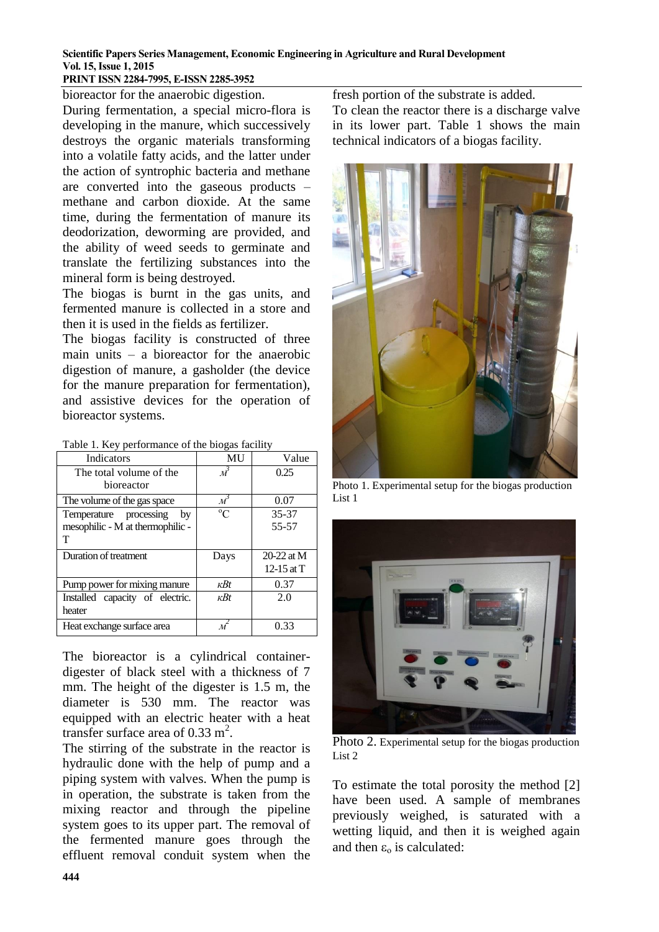# **PRINT ISSN 2284-7995, E-ISSN 2285-3952**

bioreactor for the anaerobic digestion. During fermentation, a special micro-flora is developing in the manure, which successively destroys the organic materials transforming into a volatile fatty acids, and the latter under the action of syntrophic bacteria and methane are converted into the gaseous products – methane and carbon dioxide. At the same time, during the fermentation of manure its deodorization, deworming are provided, and the ability of weed seeds to germinate and translate the fertilizing substances into the mineral form is being destroyed.

The biogas is burnt in the gas units, and fermented manure is collected in a store and then it is used in the fields as fertilizer.

The biogas facility is constructed of three main units – a bioreactor for the anaerobic digestion of manure, a gasholder (the device for the manure preparation for fermentation), and assistive devices for the operation of bioreactor systems.

|  | Table 1. Key performance of the biogas facility |  |  |
|--|-------------------------------------------------|--|--|
|  |                                                 |  |  |

| <b>Indicators</b>                | <b>MU</b>                  | Value        |  |
|----------------------------------|----------------------------|--------------|--|
| The total volume of the          | $\mathcal{M}$              | 0.25         |  |
| bioreactor                       |                            |              |  |
| The volume of the gas space      | $\overline{\mathcal{M}}^3$ | 0.07         |  |
| Temperature processing<br>bv     | $\rm ^{o}C$                | 35-37        |  |
| mesophilic - M at thermophilic - |                            | 55-57        |  |
| т                                |                            |              |  |
| Duration of treatment            | Days                       | $20-22$ at M |  |
|                                  |                            | 12-15 at $T$ |  |
| Pump power for mixing manure     | $\kappa B t$               | 0.37         |  |
| Installed capacity of electric.  | $\kappa B t$               | 2.0          |  |
| heater                           |                            |              |  |
| Heat exchange surface area       |                            | 0.33         |  |

The bioreactor is a cylindrical containerdigester of black steel with a thickness of 7 mm. The height of the digester is 1.5 m, the diameter is 530 mm. The reactor was equipped with an electric heater with a heat transfer surface area of  $0.33 \text{ m}^2$ .

The stirring of the substrate in the reactor is hydraulic done with the help of pump and a piping system with valves. When the pump is in operation, the substrate is taken from the mixing reactor and through the pipeline system goes to its upper part. The removal of the fermented manure goes through the effluent removal conduit system when the fresh portion of the substrate is added.

To clean the reactor there is a discharge valve in its lower part. Table 1 shows the main technical indicators of a biogas facility.



Photo 1. Experimental setup for the biogas production List 1



Photo 2. Experimental setup for the biogas production List 2

To estimate the total porosity the method [2] have been used. A sample of membranes previously weighed, is saturated with a wetting liquid, and then it is weighed again and then  $\varepsilon_0$  is calculated: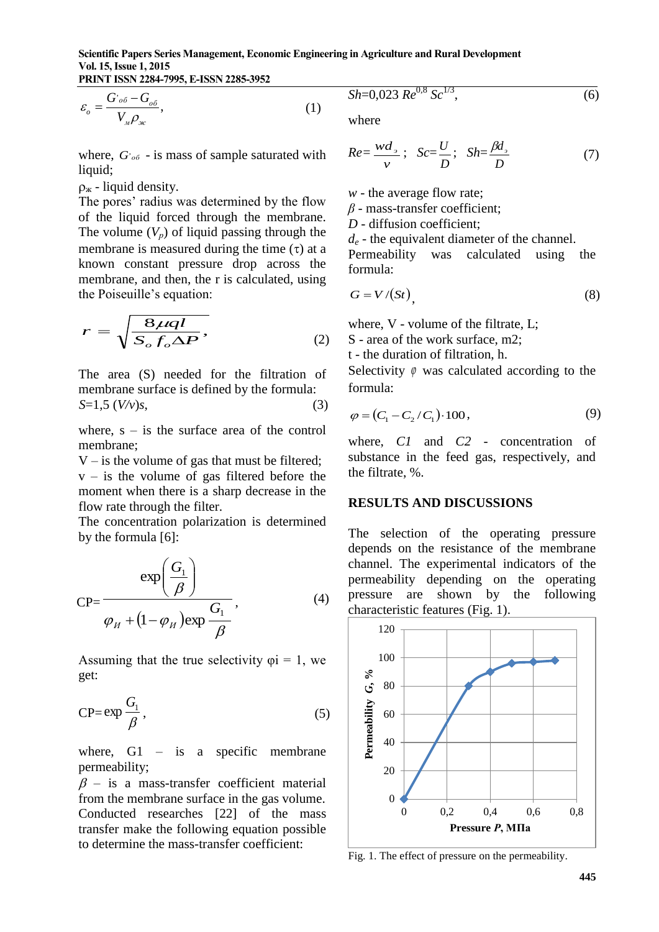**PRINT ISSN 2284-7995, E-ISSN 2285-3952** 

$$
\varepsilon_{o} = \frac{G_{o\delta} - G_{o\delta}}{V_{M}\rho_{\kappa}},\tag{1}
$$

where,  $G_{\text{oo}}$  - is mass of sample saturated with liquid;

 $\rho_{\rm w}$  - liquid density.

The pores' radius was determined by the flow of the liquid forced through the membrane. The volume  $(V_p)$  of liquid passing through the membrane is measured during the time  $(\tau)$  at a known constant pressure drop across the membrane, and then, the r is calculated, using the Poiseuille's equation:

$$
r = \sqrt{\frac{8\mu ql}{S_o f_o \Delta P}},\tag{2}
$$

The area (S) needed for the filtration of membrane surface is defined by the formula:  $S=1,5 \, (V/v)s,$  (3)

where,  $s - is$  the surface area of the control membrane;

 $V - i$  s the volume of gas that must be filtered;  $v -$  is the volume of gas filtered before the moment when there is a sharp decrease in the flow rate through the filter.

The concentration polarization is determined by the formula [6]:

$$
CP = \frac{\exp\left(\frac{G_1}{\beta}\right)}{\varphi_H + (1 - \varphi_H)\exp\frac{G_1}{\beta}},
$$
\n(4)

Assuming that the true selectivity  $\varphi$ i = 1, we get:

$$
CP = \exp{\frac{G_1}{\beta}},
$$
\n(5)

where,  $G1 - is a specific membrane$ permeability;

 $\beta$  – is a mass-transfer coefficient material from the membrane surface in the gas volume. Conducted researches [22] of the mass transfer make the following equation possible to determine the mass-transfer coefficient:

$$
Sh=0,023 \, Re^{0.8} \, Sc^{1/3},\tag{6}
$$

where

$$
Re = \frac{wd_{\rho}}{v}; \quad Sc = \frac{U}{D}; \quad Sh = \frac{\beta d_{\rho}}{D}
$$
 (7)

*w* - the average flow rate;

*β* - mass-transfer coefficient;

*D* - diffusion coefficient;

*d<sup>e</sup>* - the equivalent diameter of the channel.

Permeability was calculated using the formula:

$$
G = V/(St), \tag{8}
$$

where, V - volume of the filtrate, L;

S - area of the work surface, m2;

t - the duration of filtration, h.

Selectivity  $\varphi$  was calculated according to the formula:

$$
\varphi = (C_1 - C_2 / C_1) \cdot 100,\tag{9}
$$

where, *C1* and *C2* - concentration of substance in the feed gas, respectively, and the filtrate, %.

#### **RESULTS AND DISCUSSIONS**

The selection of the operating pressure depends on the resistance of the membrane channel. The experimental indicators of the permeability depending on the operating pressure are shown by the following characteristic features (Fig. 1).



Fig. 1. The effect of pressure on the permeability.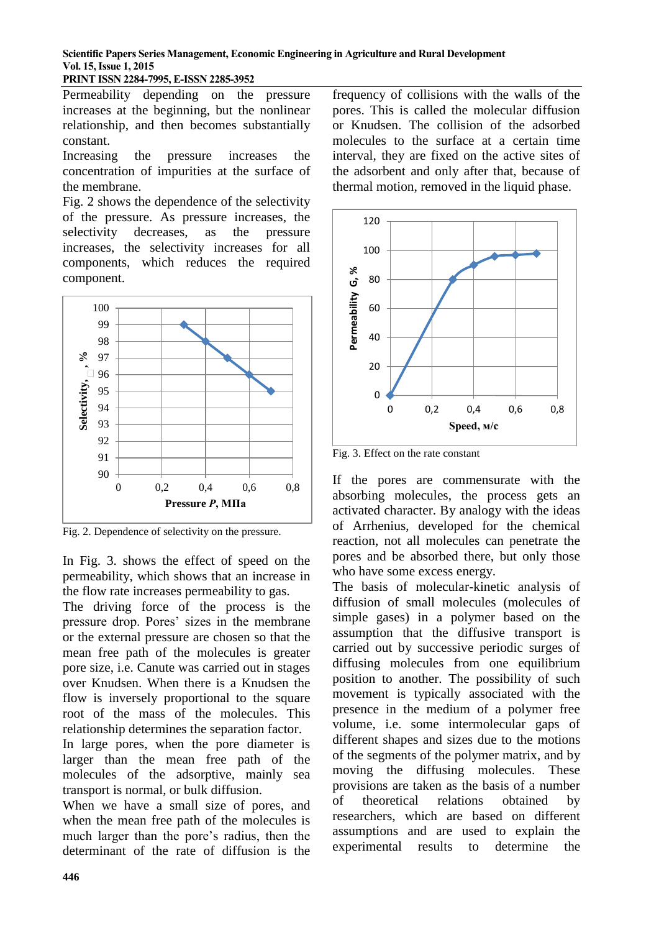**PRINT ISSN 2284-7995, E-ISSN 2285-3952** 

Permeability depending on the pressure increases at the beginning, but the nonlinear relationship, and then becomes substantially constant.

Increasing the pressure increases the concentration of impurities at the surface of the membrane.

Fig. 2 shows the dependence of the selectivity of the pressure. As pressure increases, the selectivity decreases, as the pressure increases, the selectivity increases for all components, which reduces the required component.



Fig. 2. Dependence of selectivity on the pressure.

In Fig. 3. shows the effect of speed on the permeability, which shows that an increase in the flow rate increases permeability to gas.

The driving force of the process is the pressure drop. Pores' sizes in the membrane or the external pressure are chosen so that the mean free path of the molecules is greater pore size, i.e. Canute was carried out in stages over Knudsen. When there is a Knudsen the flow is inversely proportional to the square root of the mass of the molecules. This relationship determines the separation factor.

In large pores, when the pore diameter is larger than the mean free path of the molecules of the adsorptive, mainly sea transport is normal, or bulk diffusion.

When we have a small size of pores, and when the mean free path of the molecules is much larger than the pore's radius, then the determinant of the rate of diffusion is the

frequency of collisions with the walls of the pores. This is called the molecular diffusion or Knudsen. The collision of the adsorbed molecules to the surface at a certain time interval, they are fixed on the active sites of the adsorbent and only after that, because of thermal motion, removed in the liquid phase.



Fig. 3. Effect on the rate constant

If the pores are commensurate with the absorbing molecules, the process gets an activated character. By analogy with the ideas of Arrhenius, developed for the chemical reaction, not all molecules can penetrate the pores and be absorbed there, but only those who have some excess energy.

The basis of molecular-kinetic analysis of diffusion of small molecules (molecules of simple gases) in a polymer based on the assumption that the diffusive transport is carried out by successive periodic surges of diffusing molecules from one equilibrium position to another. The possibility of such movement is typically associated with the presence in the medium of a polymer free volume, i.e. some intermolecular gaps of different shapes and sizes due to the motions of the segments of the polymer matrix, and by moving the diffusing molecules. These provisions are taken as the basis of a number of theoretical relations obtained by researchers, which are based on different assumptions and are used to explain the experimental results to determine the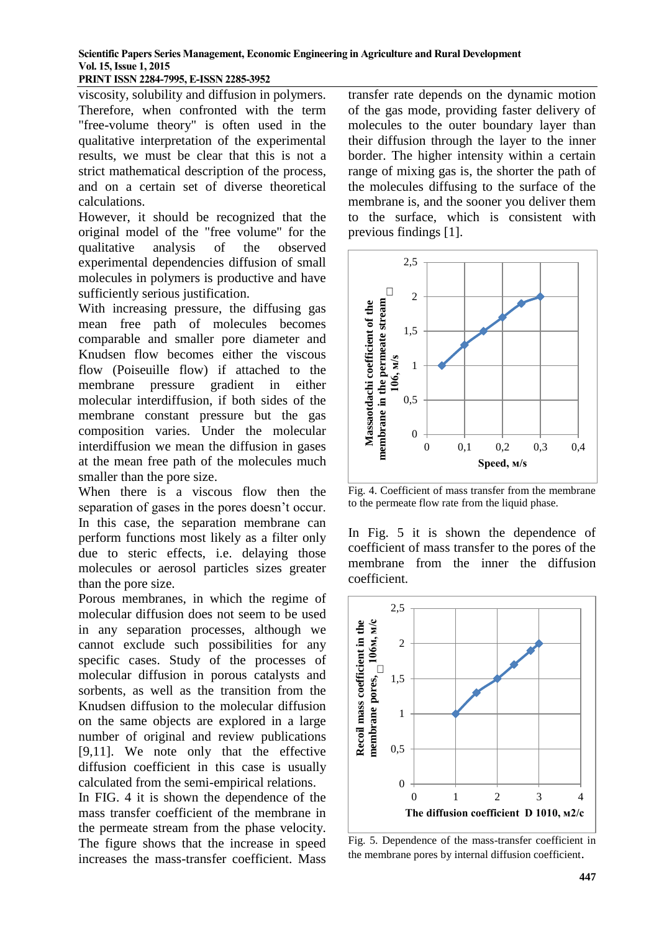# **PRINT ISSN 2284-7995, E-ISSN 2285-3952**

viscosity, solubility and diffusion in polymers. Therefore, when confronted with the term "free-volume theory" is often used in the qualitative interpretation of the experimental results, we must be clear that this is not a strict mathematical description of the process, and on a certain set of diverse theoretical calculations.

However, it should be recognized that the original model of the "free volume" for the qualitative analysis of the observed experimental dependencies diffusion of small molecules in polymers is productive and have sufficiently serious justification.

With increasing pressure, the diffusing gas mean free path of molecules becomes comparable and smaller pore diameter and Knudsen flow becomes either the viscous flow (Poiseuille flow) if attached to the membrane pressure gradient in either molecular interdiffusion, if both sides of the membrane constant pressure but the gas composition varies. Under the molecular interdiffusion we mean the diffusion in gases at the mean free path of the molecules much smaller than the pore size.

When there is a viscous flow then the separation of gases in the pores doesn't occur. In this case, the separation membrane can perform functions most likely as a filter only due to steric effects, i.e. delaying those molecules or aerosol particles sizes greater than the pore size.

Porous membranes, in which the regime of molecular diffusion does not seem to be used in any separation processes, although we cannot exclude such possibilities for any specific cases. Study of the processes of molecular diffusion in porous catalysts and sorbents, as well as the transition from the Knudsen diffusion to the molecular diffusion on the same objects are explored in a large number of original and review publications [9,11]. We note only that the effective diffusion coefficient in this case is usually calculated from the semi-empirical relations.

In FIG. 4 it is shown the dependence of the mass transfer coefficient of the membrane in the permeate stream from the phase velocity. The figure shows that the increase in speed increases the mass-transfer coefficient. Mass

transfer rate depends on the dynamic motion of the gas mode, providing faster delivery of molecules to the outer boundary layer than their diffusion through the layer to the inner border. The higher intensity within a certain range of mixing gas is, the shorter the path of the molecules diffusing to the surface of the membrane is, and the sooner you deliver them to the surface, which is consistent with previous findings [1].



Fig. 4. Coefficient of mass transfer from the membrane to the permeate flow rate from the liquid phase.

In Fig. 5 it is shown the dependence of coefficient of mass transfer to the pores of the membrane from the inner the diffusion coefficient.



Fig. 5. Dependence of the mass-transfer coefficient in the membrane pores by internal diffusion coefficient.